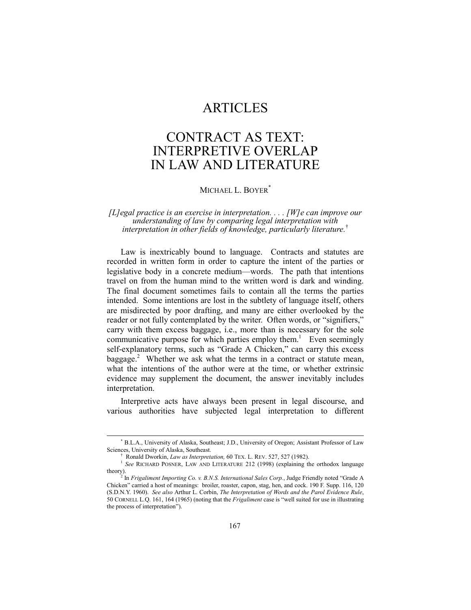## ARTICLES

## CONTRACT AS TEXT: INTERPRETIVE OVERLAP IN LAW AND LITERATURE

MICHAEL L. BOYER<sup>\*</sup>

*[L]egal practice is an exercise in interpretation. . . . [W]e can improve our understanding of law by comparing legal interpretation with interpretation in other fields of knowledge, particularly literature.*<sup>Ü</sup>

Law is inextricably bound to language. Contracts and statutes are recorded in written form in order to capture the intent of the parties or legislative body in a concrete medium—words. The path that intentions travel on from the human mind to the written word is dark and winding. The final document sometimes fails to contain all the terms the parties intended. Some intentions are lost in the subtlety of language itself, others are misdirected by poor drafting, and many are either overlooked by the reader or not fully contemplated by the writer. Often words, or "signifiers," carry with them excess baggage, i.e., more than is necessary for the sole communicative purpose for which parties employ them.<sup>1</sup> Even seemingly self-explanatory terms, such as "Grade A Chicken," can carry this excess baggage.<sup>2</sup> Whether we ask what the terms in a contract or statute mean, what the intentions of the author were at the time, or whether extrinsic evidence may supplement the document, the answer inevitably includes interpretation.

Interpretive acts have always been present in legal discourse, and various authorities have subjected legal interpretation to different

 <sup>\*</sup> B.L.A., University of Alaska, Southeast; J.D., University of Oregon; Assistant Professor of Law Sciences, University of Alaska, Southeast.

Ü Ronald Dworkin, *Law as Interpretation,* 60 TEX. L. REV. 527, 527 (1982).

<sup>&</sup>lt;sup>1</sup> See RICHARD POSNER, LAW AND LITERATURE 212 (1998) (explaining the orthodox language theory).

 $2^{2}$  In *Frigaliment Importing Co. v. B.N.S. International Sales Corp.*, Judge Friendly noted "Grade A Chickenî carried a host of meanings: broiler, roaster, capon, stag, hen, and cock. 190 F. Supp. 116, 120 (S.D.N.Y. 1960). *See also* Arthur L. Corbin, *The Interpretation of Words and the Parol Evidence Rule*, 50 CORNELL L.Q. 161, 164 (1965) (noting that the *Frigaliment* case is "well suited for use in illustrating the process of interpretation").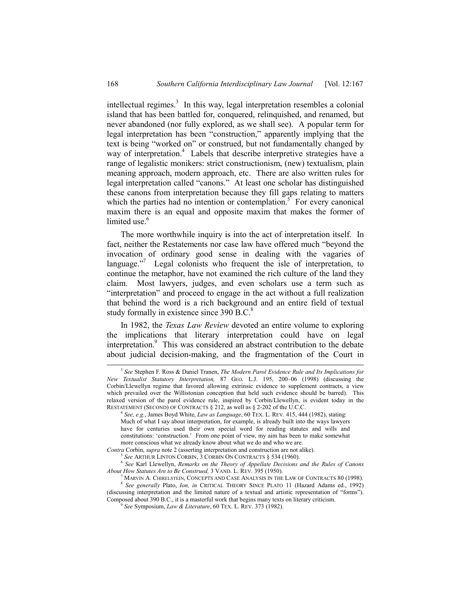intellectual regimes.<sup>3</sup> In this way, legal interpretation resembles a colonial island that has been battled for, conquered, relinquished, and renamed, but never abandoned (nor fully explored, as we shall see). A popular term for legal interpretation has been "construction," apparently implying that the text is being "worked on" or construed, but not fundamentally changed by way of interpretation.<sup>4</sup> Labels that describe interpretive strategies have a range of legalistic monikers: strict constructionism, (new) textualism, plain meaning approach, modern approach, etc. There are also written rules for legal interpretation called "canons." At least one scholar has distinguished these canons from interpretation because they fill gaps relating to matters which the parties had no intention or contemplation.<sup>5</sup> For every canonical maxim there is an equal and opposite maxim that makes the former of limited use.<sup>6</sup>

The more worthwhile inquiry is into the act of interpretation itself. In fact, neither the Restatements nor case law have offered much "beyond the invocation of ordinary good sense in dealing with the vagaries of language. $\frac{1}{2}$  Legal colonists who frequent the isle of interpretation, to continue the metaphor, have not examined the rich culture of the land they claim. Most lawyers, judges, and even scholars use a term such as "interpretation" and proceed to engage in the act without a full realization that behind the word is a rich background and an entire field of textual study formally in existence since 390 B.C.<sup>8</sup>

In 1982, the *Texas Law Review* devoted an entire volume to exploring the implications that literary interpretation could have on legal interpretation.<sup>9</sup> This was considered an abstract contribution to the debate about judicial decision-making, and the fragmentation of the Court in

 <sup>3</sup> *See* Stephen F. Ross & Daniel Tranen, *The Modern Parol Evidence Rule and Its Implications for New Textualist Statutory Interpretation, 87 GEO. L.J. 195, 200-06 (1998) (discussing the* Corbin/Llewellyn regime that favored allowing extrinsic evidence to supplement contracts, a view which prevailed over the Willistonian conception that held such evidence should be barred). This relaxed version of the parol evidence rule, inspired by Corbin/Llewellyn, is evident today in the RESTATEMENT (SECOND) OF CONTRACTS § 212, as well as § 2-202 of the U.C.C.

<sup>4</sup>  *See, e.g.*, James Boyd White, *Law as Language*, 60 TEX. L. REV. 415, 444 (1982), stating: Much of what I say about interpretation, for example, is already built into the ways lawyers have for centuries used their own special word for reading statutes and wills and constitutions: 'construction.' From one point of view, my aim has been to make somewhat more conscious what we already know about what we do and who we are.

*Contra* Corbin, *supra* note 2 (asserting interpretation and construction are not alike).

<sup>5</sup> *See* ARTHUR LINTON CORBIN, 3 CORBIN ON CONTRACTS ß 534 (1960).

<sup>6</sup>  *See* Karl Llewellyn, *Remarks on the Theory of Appellate Decisions and the Rules of Canons About How Statutes Are to Be Construed,* 3 VAND. L. REV. 395 (1950).

 $^7$  Marvin A. Chirelstein, Concepts and Case Analysis in the Law of Contracts 80 (1998). <sup>8</sup> *See generally* Plato, *Ion, in* CRITICAL THEORY SINCE PLATO 11 (Hazard Adams ed., 1992) (discussing interpretation and the limited nature of a textual and artistic representation of "forms"). Composed about 390 B.C., it is a masterful work that begins many texts on literary criticism.

<sup>9</sup> *See* Symposium, *Law & Literature*, 60 TEX. L. REV. 373 (1982).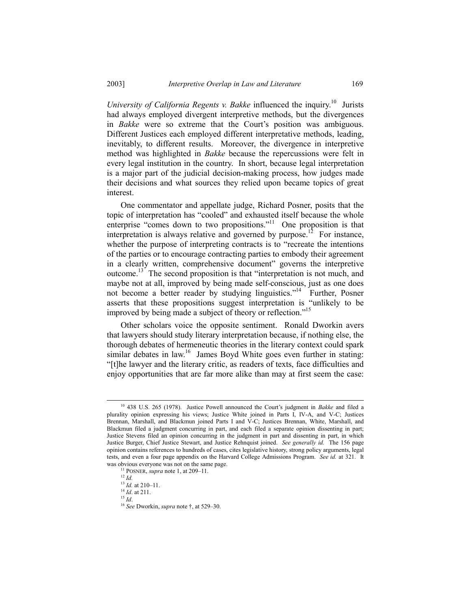*University of California Regents v. Bakke* influenced the inquiry.<sup>10</sup> Jurists had always employed divergent interpretive methods, but the divergences in *Bakke* were so extreme that the Court's position was ambiguous. Different Justices each employed different interpretative methods, leading, inevitably, to different results. Moreover, the divergence in interpretive method was highlighted in *Bakke* because the repercussions were felt in every legal institution in the country. In short, because legal interpretation is a major part of the judicial decision-making process, how judges made their decisions and what sources they relied upon became topics of great interest.

One commentator and appellate judge, Richard Posner, posits that the topic of interpretation has "cooled" and exhausted itself because the whole enterprise "comes down to two propositions."<sup>11</sup> One proposition is that interpretation is always relative and governed by purpose.<sup>12</sup> For instance, whether the purpose of interpreting contracts is to "recreate the intentions" of the parties or to encourage contracting parties to embody their agreement in a clearly written, comprehensive document" governs the interpretive outcome.<sup>13</sup> The second proposition is that "interpretation is not much, and maybe not at all, improved by being made self-conscious, just as one does not become a better reader by studying linguistics."<sup>14</sup> Further, Posner asserts that these propositions suggest interpretation is "unlikely to be improved by being made a subject of theory or reflection.<sup>115</sup>

Other scholars voice the opposite sentiment. Ronald Dworkin avers that lawyers should study literary interpretation because, if nothing else, the thorough debates of hermeneutic theories in the literary context could spark similar debates in law.<sup>16</sup> James Boyd White goes even further in stating: ì[t]he lawyer and the literary critic, as readers of texts, face difficulties and enjoy opportunities that are far more alike than may at first seem the case:

<sup>&</sup>lt;sup>10</sup> 438 U.S. 265 (1978). Justice Powell announced the Court's judgment in *Bakke* and filed a plurality opinion expressing his views; Justice White joined in Parts I, IV-A, and V-C; Justices Brennan, Marshall, and Blackmun joined Parts I and V-C; Justices Brennan, White, Marshall, and Blackmun filed a judgment concurring in part, and each filed a separate opinion dissenting in part; Justice Stevens filed an opinion concurring in the judgment in part and dissenting in part, in which Justice Burger, Chief Justice Stewart, and Justice Rehnquist joined. *See generally id.* The 156 page opinion contains references to hundreds of cases, cites legislative history, strong policy arguments, legal tests, and even a four page appendix on the Harvard College Admissions Program. *See id.* at 321. It was obvious everyone was not on the same page.

<sup>&</sup>lt;sup>11</sup> POSNER, *supra* note 1, at 209–11.

<sup>12</sup> *Id.*

 $13$  *Id.* at 210–11.

<sup>&</sup>lt;sup>14</sup> *Id.* at 211.

<sup>15</sup> *Id*.

<sup>&</sup>lt;sup>16</sup> See Dworkin, *supra* note  $\dagger$ , at 529-30.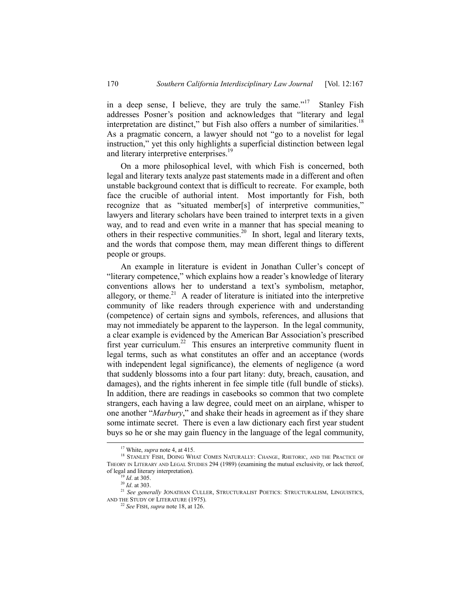in a deep sense, I believe, they are truly the same.<sup> $17$ </sup> Stanley Fish addresses Posner's position and acknowledges that "literary and legal interpretation are distinct," but Fish also offers a number of similarities.<sup>18</sup> As a pragmatic concern, a lawyer should not "go to a novelist for legal instruction," yet this only highlights a superficial distinction between legal and literary interpretive enterprises.<sup>19</sup>

On a more philosophical level, with which Fish is concerned, both legal and literary texts analyze past statements made in a different and often unstable background context that is difficult to recreate. For example, both face the crucible of authorial intent. Most importantly for Fish, both recognize that as "situated member[s] of interpretive communities," lawyers and literary scholars have been trained to interpret texts in a given way, and to read and even write in a manner that has special meaning to others in their respective communities.<sup>20</sup> In short, legal and literary texts, and the words that compose them, may mean different things to different people or groups.

An example in literature is evident in Jonathan Culler's concept of "literary competence," which explains how a reader's knowledge of literary conventions allows her to understand a text's symbolism, metaphor, allegory, or theme.<sup>21</sup> A reader of literature is initiated into the interpretive community of like readers through experience with and understanding (competence) of certain signs and symbols, references, and allusions that may not immediately be apparent to the layperson. In the legal community, a clear example is evidenced by the American Bar Association's prescribed first year curriculum.<sup>22</sup> This ensures an interpretive community fluent in legal terms, such as what constitutes an offer and an acceptance (words with independent legal significance), the elements of negligence (a word that suddenly blossoms into a four part litany: duty, breach, causation, and damages), and the rights inherent in fee simple title (full bundle of sticks). In addition, there are readings in casebooks so common that two complete strangers, each having a law degree, could meet on an airplane, whisper to one another "*Marbury*," and shake their heads in agreement as if they share some intimate secret. There is even a law dictionary each first year student buys so he or she may gain fluency in the language of the legal community,

 <sup>17</sup> White, *supra* note 4, at 415.

<sup>&</sup>lt;sup>18</sup> STANLEY FISH, DOING WHAT COMES NATURALLY: CHANGE, RHETORIC, AND THE PRACTICE OF THEORY IN LITERARY AND LEGAL STUDIES 294 (1989) (examining the mutual exclusivity, or lack thereof, of legal and literary interpretation).

<sup>19</sup> *Id*. at 305.

<sup>20</sup> *Id*. at 303.

<sup>&</sup>lt;sup>21</sup> See generally JONATHAN CULLER, STRUCTURALIST POETICS: STRUCTURALISM, LINGUISTICS, AND THE STUDY OF LITERATURE (1975).

<sup>22</sup> *See* FISH, *supra* note 18, at 126.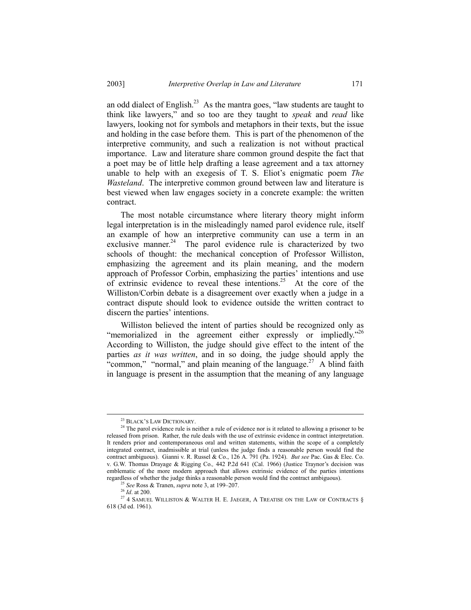an odd dialect of English.<sup>23</sup> As the mantra goes, "law students are taught to think like lawyers," and so too are they taught to *speak* and *read* like lawyers, looking not for symbols and metaphors in their texts, but the issue and holding in the case before them. This is part of the phenomenon of the interpretive community, and such a realization is not without practical importance. Law and literature share common ground despite the fact that a poet may be of little help drafting a lease agreement and a tax attorney unable to help with an exegesis of T. S. Eliot's enigmatic poem *The Wasteland*. The interpretive common ground between law and literature is best viewed when law engages society in a concrete example: the written contract.

The most notable circumstance where literary theory might inform legal interpretation is in the misleadingly named parol evidence rule, itself an example of how an interpretive community can use a term in an exclusive manner.<sup>24</sup> The parol evidence rule is characterized by two schools of thought: the mechanical conception of Professor Williston, emphasizing the agreement and its plain meaning, and the modern approach of Professor Corbin, emphasizing the parties' intentions and use of extrinsic evidence to reveal these intentions.<sup>25</sup> At the core of the Williston/Corbin debate is a disagreement over exactly when a judge in a contract dispute should look to evidence outside the written contract to discern the parties' intentions.

Williston believed the intent of parties should be recognized only as "memorialized in the agreement either expressly or impliedly. $^{226}$ According to Williston, the judge should give effect to the intent of the parties *as it was written*, and in so doing, the judge should apply the "common," "normal," and plain meaning of the language.<sup>27</sup> A blind faith in language is present in the assumption that the meaning of any language

<sup>&</sup>lt;sup>23</sup> BLACK'S LAW DICTIONARY.

<sup>&</sup>lt;sup>24</sup> The parol evidence rule is neither a rule of evidence nor is it related to allowing a prisoner to be released from prison. Rather, the rule deals with the use of extrinsic evidence in contract interpretation. It renders prior and contemporaneous oral and written statements, within the scope of a completely integrated contract, inadmissible at trial (unless the judge finds a reasonable person would find the contract ambiguous). Gianni v. R. Russel & Co., 126 A. 791 (Pa. 1924). *But see* Pac. Gas & Elec. Co. v. G.W. Thomas Drayage & Rigging Co., 442 P.2d 641 (Cal. 1966) (Justice Traynor's decision was emblematic of the more modern approach that allows extrinsic evidence of the parties intentions regardless of whether the judge thinks a reasonable person would find the contract ambiguous).

<sup>&</sup>lt;sup>25</sup> See Ross & Tranen, *supra* note 3, at 199-207.

<sup>26</sup> *Id*. at 200.

 $^{27}$  4 SAMUEL WILLISTON & WALTER H. E. JAEGER, A TREATISE ON THE LAW OF CONTRACTS  $\S$ 618 (3d ed. 1961).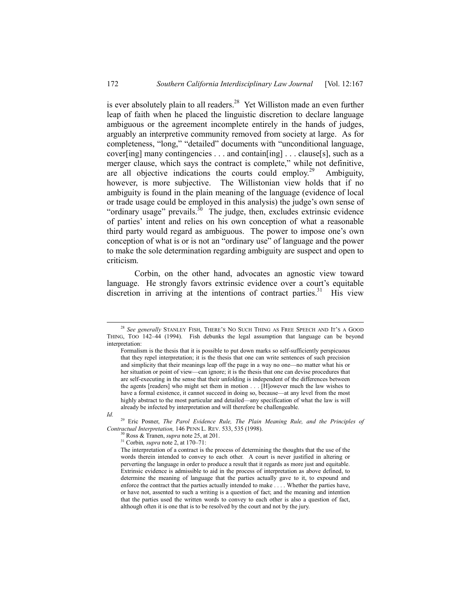is ever absolutely plain to all readers.<sup>28</sup> Yet Williston made an even further leap of faith when he placed the linguistic discretion to declare language ambiguous or the agreement incomplete entirely in the hands of judges, arguably an interpretive community removed from society at large. As for completeness, "long," "detailed" documents with "unconditional language, cover[ing] many contingencies . . . and contain[ing] . . . clause[s], such as a merger clause, which says the contract is complete," while not definitive, are all objective indications the courts could employ.<sup>29</sup> Ambiguity, however, is more subjective. The Willistonian view holds that if no ambiguity is found in the plain meaning of the language (evidence of local or trade usage could be employed in this analysis) the judge's own sense of "ordinary usage" prevails. $30$  The judge, then, excludes extrinsic evidence of partiesí intent and relies on his own conception of what a reasonable third party would regard as ambiguous. The power to impose one's own conception of what is or is not an "ordinary use" of language and the power to make the sole determination regarding ambiguity are suspect and open to criticism.

Corbin, on the other hand, advocates an agnostic view toward language. He strongly favors extrinsic evidence over a court's equitable discretion in arriving at the intentions of contract parties.<sup>31</sup> His view

*Id.*

29 Eric Posner, *The Parol Evidence Rule, The Plain Meaning Rule, and the Principles of Contractual Interpretation,* 146 PENN L. REV. 533, 535 (1998).

 $31$  Corbin, *supra* note 2, at 170–71:

<sup>&</sup>lt;sup>28</sup> See generally STANLEY FISH, THERE'S NO SUCH THING AS FREE SPEECH AND IT'S A GOOD THING, TOO  $142-44$  (1994). Fish debunks the legal assumption that language can be beyond interpretation:

Formalism is the thesis that it is possible to put down marks so self-sufficiently perspicuous that they repel interpretation; it is the thesis that one can write sentences of such precision and simplicity that their meanings leap off the page in a way no one—no matter what his or her situation or point of view—can ignore; it is the thesis that one can devise procedures that are self-executing in the sense that their unfolding is independent of the differences between the agents [readers] who might set them in motion . . . [H]owever much the law wishes to have a formal existence, it cannot succeed in doing so, because—at any level from the most highly abstract to the most particular and detailed—any specification of what the law is will already be infected by interpretation and will therefore be challengeable.

<sup>30</sup> Ross & Tranen, *supra* note 25, at 201.

The interpretation of a contract is the process of determining the thoughts that the use of the words therein intended to convey to each other. A court is never justified in altering or perverting the language in order to produce a result that it regards as more just and equitable. Extrinsic evidence is admissible to aid in the process of interpretation as above defined, to determine the meaning of language that the parties actually gave to it, to expound and enforce the contract that the parties actually intended to make . . . . Whether the parties have, or have not, assented to such a writing is a question of fact; and the meaning and intention that the parties used the written words to convey to each other is also a question of fact, although often it is one that is to be resolved by the court and not by the jury.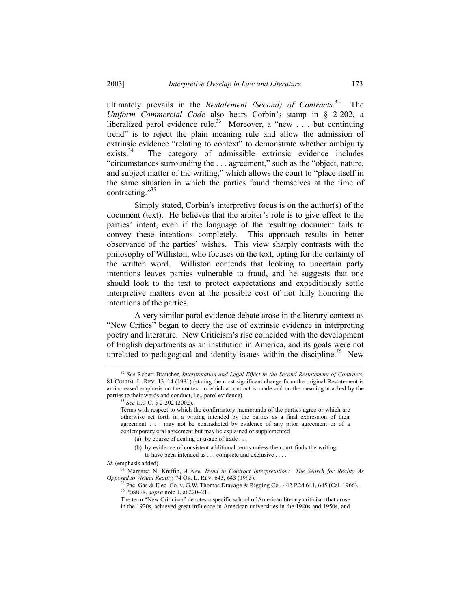ultimately prevails in the *Restatement (Second) of Contracts*. The *Uniform Commercial Code* also bears Corbin's stamp in § 2-202, a liberalized parol evidence rule.<sup>33</sup> Moreover, a "new . . . but continuing trend" is to reject the plain meaning rule and allow the admission of extrinsic evidence "relating to context" to demonstrate whether ambiguity exists.<sup>34</sup> The category of admissible extrinsic evidence includes  $\degree$ circumstances surrounding the  $\degree$ . . . agreement," such as the  $\degree$ object, nature, and subject matter of the writing," which allows the court to "place itself in

the same situation in which the parties found themselves at the time of

Simply stated, Corbin's interpretive focus is on the author(s) of the document (text). He believes that the arbiter's role is to give effect to the parties' intent, even if the language of the resulting document fails to convey these intentions completely. This approach results in better observance of the parties' wishes. This view sharply contrasts with the philosophy of Williston, who focuses on the text, opting for the certainty of the written word. Williston contends that looking to uncertain party intentions leaves parties vulnerable to fraud, and he suggests that one should look to the text to protect expectations and expeditiously settle interpretive matters even at the possible cost of not fully honoring the intentions of the parties.

A very similar parol evidence debate arose in the literary context as "New Critics" began to decry the use of extrinsic evidence in interpreting poetry and literature. New Criticism's rise coincided with the development of English departments as an institution in America, and its goals were not unrelated to pedagogical and identity issues within the discipline.<sup>36</sup> New

contracting. $^{35}$ 

 <sup>32</sup> *See* Robert Braucher, *Interpretation and Legal Effect in the Second Restatement of Contracts,* 81 COLUM. L. REV. 13, 14 (1981) (stating the most significant change from the original Restatement is an increased emphasis on the context in which a contract is made and on the meaning attached by the parties to their words and conduct, i.e., parol evidence).

<sup>33</sup> *See* U.C.C. ß 2-202 (2002).

Terms with respect to which the confirmatory memoranda of the parties agree or which are otherwise set forth in a writing intended by the parties as a final expression of their agreement . . . may not be contradicted by evidence of any prior agreement or of a contemporary oral agreement but may be explained or supplemented

<sup>(</sup>a) by course of dealing or usage of trade . . .

<sup>(</sup>b) by evidence of consistent additional terms unless the court finds the writing to have been intended as . . . complete and exclusive . . . .

*Id.* (emphasis added).

<sup>34</sup> Margaret N. Kniffin, *A New Trend in Contract Interpretation: The Search for Reality As Opposed to Virtual Reality,* 74 OR. L. REV. 643, 643 (1995).

<sup>&</sup>lt;sup>35</sup> Pac. Gas & Elec. Co. v. G.W. Thomas Drayage & Rigging Co., 442 P.2d 641, 645 (Cal. 1966). <sup>36</sup> POSNER, *supra* note 1, at 220–21.

The term "New Criticism" denotes a specific school of American literary criticism that arose in the 1920s, achieved great influence in American universities in the 1940s and 1950s, and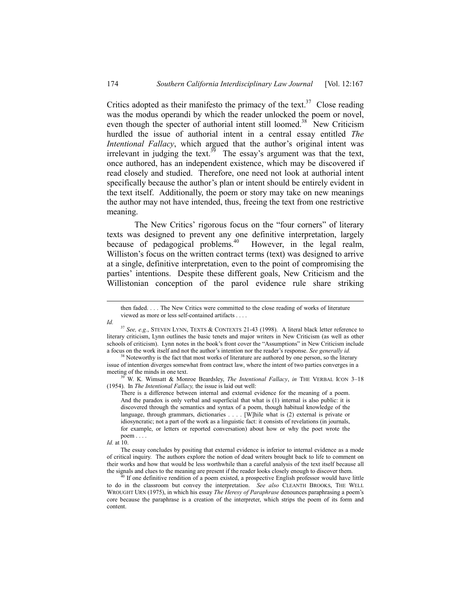Critics adopted as their manifesto the primacy of the text.<sup>37</sup> Close reading was the modus operandi by which the reader unlocked the poem or novel, even though the specter of authorial intent still loomed.<sup>38</sup> New Criticism hurdled the issue of authorial intent in a central essay entitled *The Intentional Fallacy*, which argued that the author's original intent was irrelevant in judging the text.<sup>39</sup> The essay's argument was that the text, once authored, has an independent existence, which may be discovered if read closely and studied. Therefore, one need not look at authorial intent specifically because the author's plan or intent should be entirely evident in the text itself. Additionally, the poem or story may take on new meanings the author may not have intended, thus, freeing the text from one restrictive meaning.

The New Critics' rigorous focus on the "four corners" of literary texts was designed to prevent any one definitive interpretation, largely because of pedagogical problems.<sup>40</sup> However, in the legal realm, Williston's focus on the written contract terms (text) was designed to arrive at a single, definitive interpretation, even to the point of compromising the parties' intentions. Despite these different goals, New Criticism and the Willistonian conception of the parol evidence rule share striking

*Id.* at 10.

then faded. . . . The New Critics were committed to the close reading of works of literature viewed as more or less self-contained artifacts . . . .

*Id.*

<sup>37</sup> *See, e.g.*, STEVEN LYNN, TEXTS & CONTEXTS 21-43 (1998). A literal black letter reference to literary criticism, Lynn outlines the basic tenets and major writers in New Criticism (as well as other schools of criticism). Lynn notes in the book's front cover the "Assumptions" in New Criticism include a focus on the work itself and not the author's intention nor the reader's response. See generally id.

Noteworthy is the fact that most works of literature are authored by one person, so the literary issue of intention diverges somewhat from contract law, where the intent of two parties converges in a meeting of the minds in one text.

W. K. Wimsatt & Monroe Beardsley, *The Intentional Fallacy*, *in* THE VERBAL ICON 3-18 (1954). In *The Intentional Fallacy,* the issue is laid out well:

There is a difference between internal and external evidence for the meaning of a poem. And the paradox is only verbal and superficial that what is (1) internal is also public: it is discovered through the semantics and syntax of a poem, though habitual knowledge of the language, through grammars, dictionaries . . . . [W]hile what is (2) external is private or idiosyncratic; not a part of the work as a linguistic fact: it consists of revelations (in journals, for example, or letters or reported conversation) about how or why the poet wrote the poem . . . .

The essay concludes by positing that external evidence is inferior to internal evidence as a mode of critical inquiry. The authors explore the notion of dead writers brought back to life to comment on their works and how that would be less worthwhile than a careful analysis of the text itself because all the signals and clues to the meaning are present if the reader looks closely enough to discover them.

 $<sup>0</sup>$  If one definitive rendition of a poem existed, a prospective English professor would have little</sup> to do in the classroom but convey the interpretation. *See also* CLEANTH BROOKS, THE WELL WROUGHT URN (1975), in which his essay *The Heresy of Paraphrase* denounces paraphrasing a poemís core because the paraphrase is a creation of the interpreter, which strips the poem of its form and content.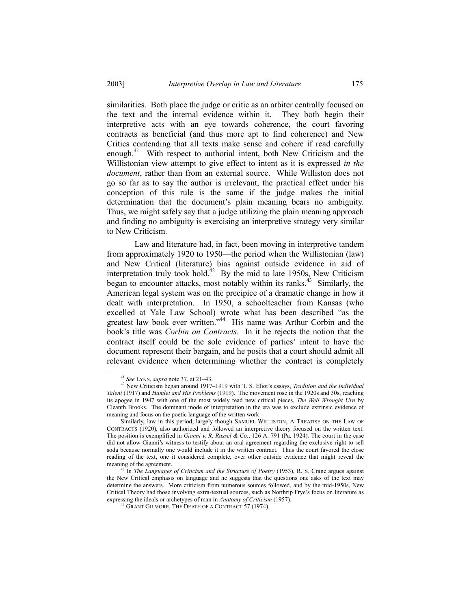similarities. Both place the judge or critic as an arbiter centrally focused on the text and the internal evidence within it. They both begin their interpretive acts with an eye towards coherence, the court favoring contracts as beneficial (and thus more apt to find coherence) and New Critics contending that all texts make sense and cohere if read carefully enough.<sup>41</sup> With respect to authorial intent, both New Criticism and the Willistonian view attempt to give effect to intent as it is expressed *in the document*, rather than from an external source. While Williston does not go so far as to say the author is irrelevant, the practical effect under his conception of this rule is the same if the judge makes the initial determination that the document's plain meaning bears no ambiguity. Thus, we might safely say that a judge utilizing the plain meaning approach and finding no ambiguity is exercising an interpretive strategy very similar to New Criticism.

Law and literature had, in fact, been moving in interpretive tandem from approximately 1920 to 1950—the period when the Willistonian (law) and New Critical (literature) bias against outside evidence in aid of interpretation truly took hold.<sup>42</sup> By the mid to late 1950s, New Criticism began to encounter attacks, most notably within its ranks.<sup>43</sup> Similarly, the American legal system was on the precipice of a dramatic change in how it dealt with interpretation. In 1950, a schoolteacher from Kansas (who excelled at Yale Law School) wrote what has been described "as the greatest law book ever written.<sup>44</sup> His name was Arthur Corbin and the book's title was *Corbin on Contracts*. In it he rejects the notion that the contract itself could be the sole evidence of parties' intent to have the document represent their bargain, and he posits that a court should admit all relevant evidence when determining whether the contract is completely

<sup>&</sup>lt;sup>41</sup> See LYNN, *supra* note 37, at 21–43.

<sup>&</sup>lt;sup>42</sup> New Criticism began around 1917–1919 with T. S. Eliot's essays, *Tradition and the Individual Talent* (1917) and *Hamlet and His Problems* (1919). The movement rose in the 1920s and 30s, reaching its apogee in 1947 with one of the most widely read new critical pieces, *The Well Wrought Urn* by Cleanth Brooks. The dominant mode of interpretation in the era was to exclude extrinsic evidence of meaning and focus on the poetic language of the written work.

Similarly, law in this period, largely though SAMUEL WILLISTON, A TREATISE ON THE LAW OF CONTRACTS (1920), also authorized and followed an interpretive theory focused on the written text. The position is exemplified in *Gianni v. R. Russel & Co*., 126 A. 791 (Pa. 1924). The court in the case did not allow Gianniís witness to testify about an oral agreement regarding the exclusive right to sell soda because normally one would include it in the written contract. Thus the court favored the close reading of the text, one it considered complete, over other outside evidence that might reveal the meaning of the agreement.

<sup>43</sup> In *The Languages of Criticism and the Structure of Poetry* (1953), R. S. Crane argues against the New Critical emphasis on language and he suggests that the questions one asks of the text may determine the answers. More criticism from numerous sources followed, and by the mid-1950s, New Critical Theory had those involving extra-textual sources, such as Northrip Frye's focus on literature as expressing the ideals or archetypes of man in *Anatomy of Criticism* (1957).

<sup>44</sup> GRANT GILMORE, THE DEATH OF A CONTRACT 57 (1974).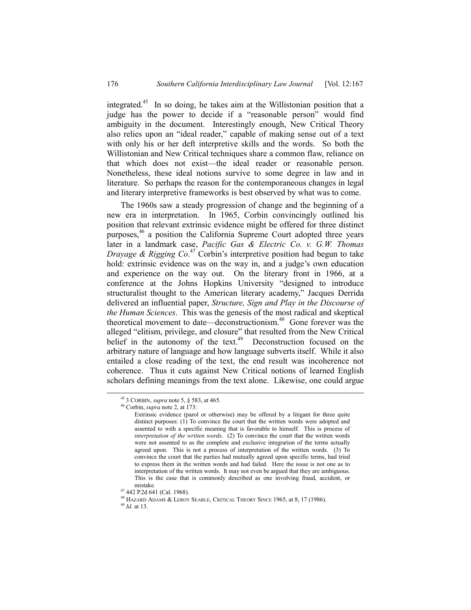integrated.<sup>45</sup> In so doing, he takes aim at the Willistonian position that a judge has the power to decide if a "reasonable person" would find ambiguity in the document. Interestingly enough, New Critical Theory also relies upon an "ideal reader," capable of making sense out of a text with only his or her deft interpretive skills and the words. So both the Willistonian and New Critical techniques share a common flaw, reliance on that which does not exist—the ideal reader or reasonable person. Nonetheless, these ideal notions survive to some degree in law and in literature. So perhaps the reason for the contemporaneous changes in legal and literary interpretive frameworks is best observed by what was to come.

The 1960s saw a steady progression of change and the beginning of a new era in interpretation. In 1965, Corbin convincingly outlined his position that relevant extrinsic evidence might be offered for three distinct purposes,<sup>46</sup> a position the California Supreme Court adopted three years later in a landmark case, *Pacific Gas & Electric Co. v. G.W. Thomas Drayage & Rigging Co.*<sup>47</sup> Corbin's interpretive position had begun to take hold: extrinsic evidence was on the way in, and a judge's own education and experience on the way out. On the literary front in 1966, at a conference at the Johns Hopkins University "designed to introduce structuralist thought to the American literary academy," Jacques Derrida delivered an influential paper, *Structure, Sign and Play in the Discourse of the Human Sciences*. This was the genesis of the most radical and skeptical theoretical movement to date—deconstructionism. $48$  Gone forever was the alleged "elitism, privilege, and closure" that resulted from the New Critical belief in the autonomy of the text. $49$  Deconstruction focused on the arbitrary nature of language and how language subverts itself. While it also entailed a close reading of the text, the end result was incoherence not coherence. Thus it cuts against New Critical notions of learned English scholars defining meanings from the text alone. Likewise, one could argue

 <sup>45</sup> 3 CORBIN, *supra* note 5, ß 583, at 465.

<sup>46</sup> Corbin, *supra* note 2, at 173:

Extrinsic evidence (parol or otherwise) may be offered by a litigant for three quite distinct purposes: (1) To convince the court that the written words were adopted and assented to with a specific meaning that is favorable to himself. This is process of *interpretation of the written words*. (2) To convince the court that the written words were not assented to as the complete and exclusive integration of the terms actually agreed upon. This is not a process of interpretation of the written words. (3) To convince the court that the parties had mutually agreed upon specific terms, had tried to express them in the written words and had failed. Here the issue is not one as to interpretation of the written words. It may not even be argued that they are ambiguous. This is the case that is commonly described as one involving fraud, accident, or mistake.

<sup>47 442</sup> P.2d 641 (Cal. 1968).

<sup>48</sup> HAZARD ADAMS & LEROY SEARLE, CRITICAL THEORY SINCE 1965, at 8, 17 (1986).

<sup>49</sup> *Id.* at 13.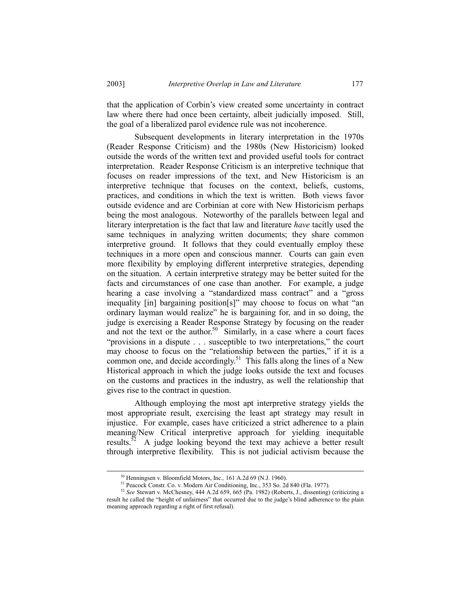that the application of Corbin's view created some uncertainty in contract law where there had once been certainty, albeit judicially imposed. Still, the goal of a liberalized parol evidence rule was not incoherence.

Subsequent developments in literary interpretation in the 1970s (Reader Response Criticism) and the 1980s (New Historicism) looked outside the words of the written text and provided useful tools for contract interpretation. Reader Response Criticism is an interpretive technique that focuses on reader impressions of the text, and New Historicism is an interpretive technique that focuses on the context, beliefs, customs, practices, and conditions in which the text is written. Both views favor outside evidence and are Corbinian at core with New Historicism perhaps being the most analogous. Noteworthy of the parallels between legal and literary interpretation is the fact that law and literature *have* tacitly used the same techniques in analyzing written documents; they share common interpretive ground. It follows that they could eventually employ these techniques in a more open and conscious manner. Courts can gain even more flexibility by employing different interpretive strategies, depending on the situation. A certain interpretive strategy may be better suited for the facts and circumstances of one case than another. For example, a judge hearing a case involving a "standardized mass contract" and a "gross" inequality  $\lceil$ in] bargaining position $\lceil$ s]" may choose to focus on what "an ordinary layman would realize" he is bargaining for, and in so doing, the judge is exercising a Reader Response Strategy by focusing on the reader and not the text or the author.<sup>50</sup> Similarly, in a case where a court faces  $"provisions in a dispute ...$  susceptible to two interpretations," the court may choose to focus on the "relationship between the parties," if it is a common one, and decide accordingly.<sup>51</sup> This falls along the lines of a New Historical approach in which the judge looks outside the text and focuses on the customs and practices in the industry, as well the relationship that gives rise to the contract in question.

Although employing the most apt interpretive strategy yields the most appropriate result, exercising the least apt strategy may result in injustice. For example, cases have criticized a strict adherence to a plain meaning/New Critical interpretive approach for yielding inequitable results.<sup>52</sup> A judge looking beyond the text may achieve a better result through interpretive flexibility. This is not judicial activism because the

 <sup>50</sup> Henningsen v. Bloomfield Motors, Inc.*,* 161 A.2d 69 (N.J. 1960).

<sup>51</sup> Peacock Constr. Co. v. Modern Air Conditioning, Inc., 353 So. 2d 840 (Fla. 1977).

<sup>52</sup> *See* Stewart v. McChesney, 444 A.2d 659, 665 (Pa. 1982) (Roberts, J., dissenting) (criticizing a result he called the "height of unfairness" that occurred due to the judge's blind adherence to the plain meaning approach regarding a right of first refusal).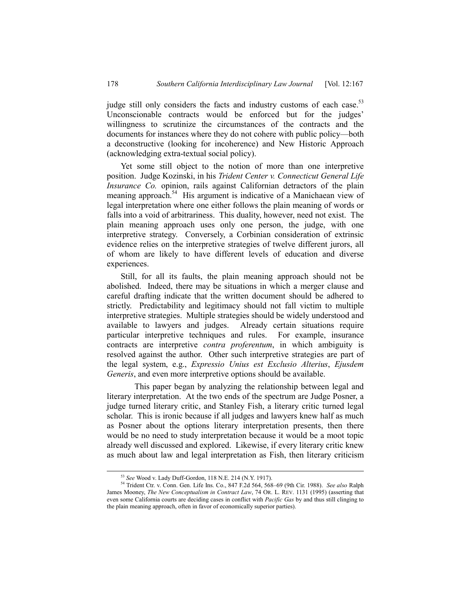judge still only considers the facts and industry customs of each case.<sup>53</sup> Unconscionable contracts would be enforced but for the judges' willingness to scrutinize the circumstances of the contracts and the documents for instances where they do not cohere with public policy—both a deconstructive (looking for incoherence) and New Historic Approach (acknowledging extra-textual social policy).

Yet some still object to the notion of more than one interpretive position. Judge Kozinski, in his *Trident Center v. Connecticut General Life Insurance Co.* opinion, rails against Californian detractors of the plain meaning approach.<sup>54</sup> His argument is indicative of a Manichaean view of legal interpretation where one either follows the plain meaning of words or falls into a void of arbitrariness. This duality, however, need not exist. The plain meaning approach uses only one person, the judge, with one interpretive strategy. Conversely, a Corbinian consideration of extrinsic evidence relies on the interpretive strategies of twelve different jurors, all of whom are likely to have different levels of education and diverse experiences.

Still, for all its faults, the plain meaning approach should not be abolished. Indeed, there may be situations in which a merger clause and careful drafting indicate that the written document should be adhered to strictly. Predictability and legitimacy should not fall victim to multiple interpretive strategies. Multiple strategies should be widely understood and available to lawyers and judges. Already certain situations require particular interpretive techniques and rules. For example, insurance contracts are interpretive *contra proferentum*, in which ambiguity is resolved against the author. Other such interpretive strategies are part of the legal system, e.g., *Expressio Unius est Exclusio Alterius*, *Ejusdem Generis*, and even more interpretive options should be available.

This paper began by analyzing the relationship between legal and literary interpretation. At the two ends of the spectrum are Judge Posner, a judge turned literary critic, and Stanley Fish, a literary critic turned legal scholar. This is ironic because if all judges and lawyers knew half as much as Posner about the options literary interpretation presents, then there would be no need to study interpretation because it would be a moot topic already well discussed and explored. Likewise, if every literary critic knew as much about law and legal interpretation as Fish, then literary criticism

 <sup>53</sup> *See* Wood v. Lady Duff-Gordon, 118 N.E. 214 (N.Y. 1917).

<sup>&</sup>lt;sup>54</sup> Trident Ctr. v. Conn. Gen. Life Ins. Co., 847 F.2d 564, 568-69 (9th Cir. 1988). *See also* Ralph James Mooney, *The New Conceptualism in Contract Law*, 74 OR. L. REV. 1131 (1995) (asserting that even some California courts are deciding cases in conflict with *Pacific Gas* by and thus still clinging to the plain meaning approach, often in favor of economically superior parties).